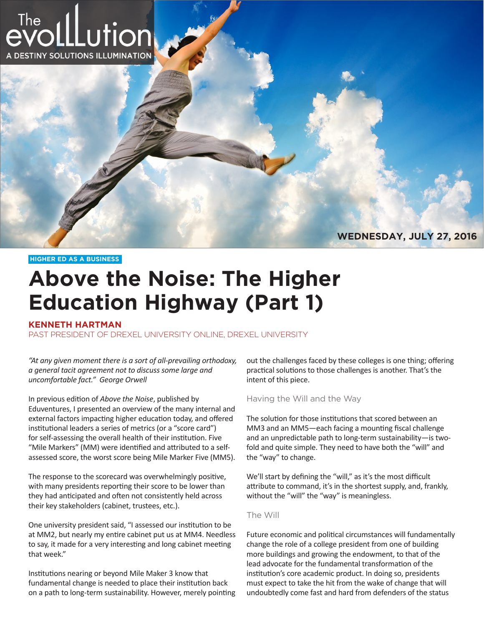

**WEDNESDAY, JULY 27, 2016**

**HIGHER ED AS A BUSINESS**

# **Above the Noise: The Higher Education Highway (Part 1)**

## **KENNETH HARTMAN**

PAST PRESIDENT OF DREXEL UNIVERSITY ONLINE, DREXEL UNIVERSITY

*"At any given moment there is a sort of all-prevailing orthodoxy, a general tacit agreement not to discuss some large and uncomfortable fact." George Orwell*

In previous edition of *Above the Noise*, published by Eduventures, I presented an overview of the many internal and external factors impacting higher education today, and offered institutional leaders a series of metrics (or a "score card") for self-assessing the overall health of their institution. Five "Mile Markers" (MM) were identified and attributed to a selfassessed score, the worst score being Mile Marker Five (MM5).

The response to the scorecard was overwhelmingly positive, with many presidents reporting their score to be lower than they had anticipated and often not consistently held across their key stakeholders (cabinet, trustees, etc.).

One university president said, "I assessed our institution to be at MM2, but nearly my entire cabinet put us at MM4. Needless to say, it made for a very interesting and long cabinet meeting that week."

Institutions nearing or beyond Mile Maker 3 know that fundamental change is needed to place their institution back on a path to long-term sustainability. However, merely pointing out the challenges faced by these colleges is one thing; offering practical solutions to those challenges is another. That's the intent of this piece.

Having the Will and the Way

The solution for those institutions that scored between an MM3 and an MM5—each facing a mounting fiscal challenge and an unpredictable path to long-term sustainability—is twofold and quite simple. They need to have both the "will" and the "way" to change.

We'll start by defining the "will," as it's the most difficult attribute to command, it's in the shortest supply, and, frankly, without the "will" the "way" is meaningless.

#### The Will

Future economic and political circumstances will fundamentally change the role of a college president from one of building more buildings and growing the endowment, to that of the lead advocate for the fundamental transformation of the institution's core academic product. In doing so, presidents must expect to take the hit from the wake of change that will undoubtedly come fast and hard from defenders of the status